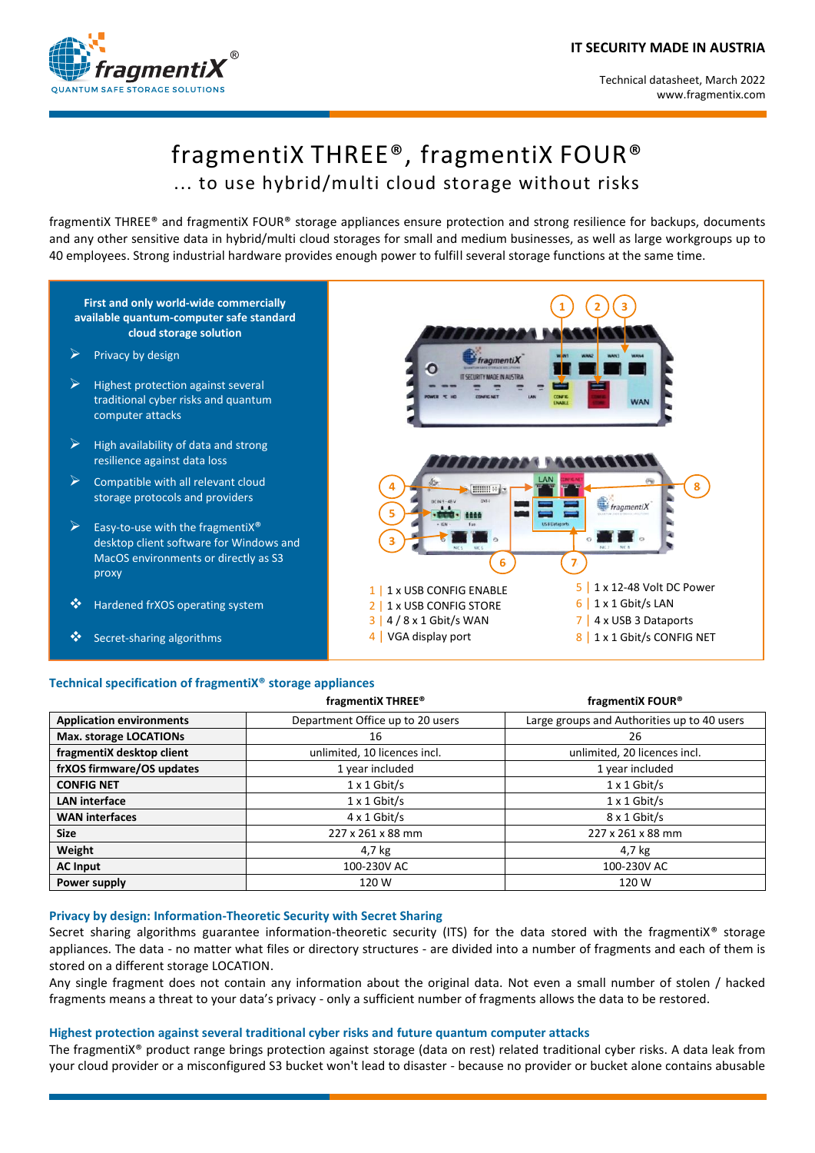

# fragmentiX THREE® , fragmentiX FOUR® ... to use hybrid/multi cloud storage without risks

fragmentiX THREE® and fragmentiX FOUR® storage appliances ensure protection and strong resilience for backups, documents and any other sensitive data in hybrid/multi cloud storages for small and medium businesses, as well as large workgroups up to 40 employees. Strong industrial hardware provides enough power to fulfill several storage functions at the same time.



## **Technical specification of fragmentiX® storage appliances**

|                                 | fragmentiX THREE <sup>®</sup>    | fragmentiX FOUR <sup>®</sup>                |
|---------------------------------|----------------------------------|---------------------------------------------|
| <b>Application environments</b> | Department Office up to 20 users | Large groups and Authorities up to 40 users |
| Max. storage LOCATIONs          | 16                               | 26                                          |
| fragmentiX desktop client       | unlimited, 10 licences incl.     | unlimited, 20 licences incl.                |
| frXOS firmware/OS updates       | 1 year included                  | 1 year included                             |
| <b>CONFIG NET</b>               | $1 \times 1$ Gbit/s              | $1 \times 1$ Gbit/s                         |
| <b>LAN</b> interface            | $1 \times 1$ Gbit/s              | $1 \times 1$ Gbit/s                         |
| <b>WAN</b> interfaces           | $4 \times 1$ Gbit/s              | 8 x 1 Gbit/s                                |
| <b>Size</b>                     | 227 x 261 x 88 mm                | 227 x 261 x 88 mm                           |
| Weight                          | 4,7 kg                           | 4,7 kg                                      |
| <b>AC Input</b>                 | 100-230V AC                      | 100-230V AC                                 |
| Power supply                    | 120 W                            | 120 W                                       |

#### **Privacy by design: Information-Theoretic Security with Secret Sharing**

Secret sharing algorithms guarantee information-theoretic security (ITS) for the data stored with the fragmentiX<sup>®</sup> storage appliances. The data - no matter what files or directory structures - are divided into a number of fragments and each of them is stored on a different storage LOCATION.

Any single fragment does not contain any information about the original data. Not even a small number of stolen / hacked fragments means a threat to your data's privacy - only a sufficient number of fragments allows the data to be restored.

## **Highest protection against several traditional cyber risks and future quantum computer attacks**

The fragmentiX® product range brings protection against storage (data on rest) related traditional cyber risks. A data leak from your cloud provider or a misconfigured S3 bucket won't lead to disaster - because no provider or bucket alone contains abusable